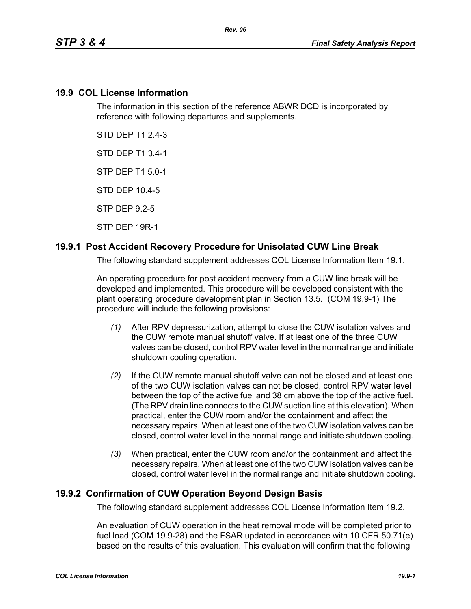### **19.9 COL License Information**

The information in this section of the reference ABWR DCD is incorporated by reference with following departures and supplements.

STD DEP T1 2.4-3

STD DEP T1 3.4-1

STP DEP T1 5.0-1

STD DEP 10.4-5

STP DEP 9.2-5

STP DEP 19R-1

## **19.9.1 Post Accident Recovery Procedure for Unisolated CUW Line Break**

The following standard supplement addresses COL License Information Item 19.1.

An operating procedure for post accident recovery from a CUW line break will be developed and implemented. This procedure will be developed consistent with the plant operating procedure development plan in Section 13.5. (COM 19.9-1) The procedure will include the following provisions:

- *(1)* After RPV depressurization, attempt to close the CUW isolation valves and the CUW remote manual shutoff valve. If at least one of the three CUW valves can be closed, control RPV water level in the normal range and initiate shutdown cooling operation.
- *(2)* If the CUW remote manual shutoff valve can not be closed and at least one of the two CUW isolation valves can not be closed, control RPV water level between the top of the active fuel and 38 cm above the top of the active fuel. (The RPV drain line connects to the CUW suction line at this elevation). When practical, enter the CUW room and/or the containment and affect the necessary repairs. When at least one of the two CUW isolation valves can be closed, control water level in the normal range and initiate shutdown cooling.
- *(3)* When practical, enter the CUW room and/or the containment and affect the necessary repairs. When at least one of the two CUW isolation valves can be closed, control water level in the normal range and initiate shutdown cooling.

## **19.9.2 Confirmation of CUW Operation Beyond Design Basis**

The following standard supplement addresses COL License Information Item 19.2.

An evaluation of CUW operation in the heat removal mode will be completed prior to fuel load (COM 19.9-28) and the FSAR updated in accordance with 10 CFR 50.71(e) based on the results of this evaluation. This evaluation will confirm that the following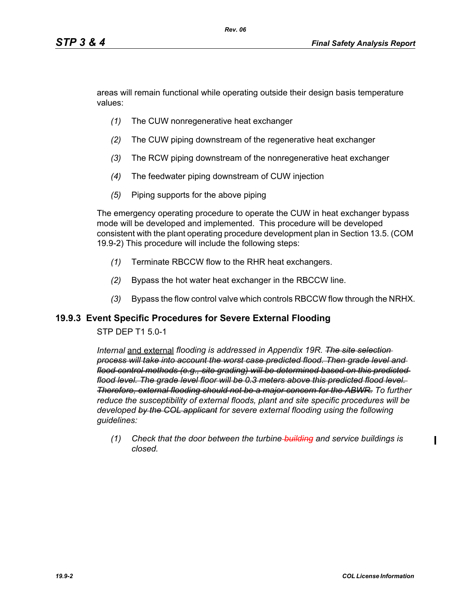areas will remain functional while operating outside their design basis temperature values:

- *(1)* The CUW nonregenerative heat exchanger
- *(2)* The CUW piping downstream of the regenerative heat exchanger
- *(3)* The RCW piping downstream of the nonregenerative heat exchanger
- *(4)* The feedwater piping downstream of CUW injection
- *(5)* Piping supports for the above piping

The emergency operating procedure to operate the CUW in heat exchanger bypass mode will be developed and implemented. This procedure will be developed consistent with the plant operating procedure development plan in Section 13.5. (COM 19.9-2) This procedure will include the following steps:

- *(1)* Terminate RBCCW flow to the RHR heat exchangers.
- *(2)* Bypass the hot water heat exchanger in the RBCCW line.
- *(3)* Bypass the flow control valve which controls RBCCW flow through the NRHX.

#### **19.9.3 Event Specific Procedures for Severe External Flooding**

#### STP DEP T1 5.0-1

*Internal* and external *flooding is addressed in Appendix 19R. The site selection process will take into account the worst case predicted flood. Then grade level and flood control methods (e.g., site grading) will be determined based on this predicted flood level. The grade level floor will be 0.3 meters above this predicted flood level. Therefore, external flooding should not be a major concern for the ABWR. To further reduce the susceptibility of external floods, plant and site specific procedures will be developed by the COL applicant for severe external flooding using the following guidelines:* 

*(1) Check that the door between the turbine building and service buildings is closed.*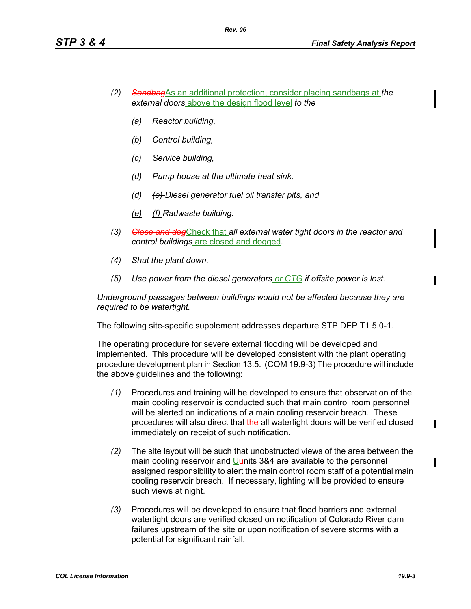- *(2) Sandbag*As an additional protection, consider placing sandbags at *the external doors* above the design flood level *to the*
	- *(a) Reactor building,*
	- *(b) Control building,*
	- *(c) Service building,*
	- *(d) Pump house at the ultimate heat sink,*
	- *(d) (e) Diesel generator fuel oil transfer pits, and*
	- *(e) (f) Radwaste building.*
- *(3) Close and dog*Check that *all external water tight doors in the reactor and control buildings* are closed and dogged*.*
- *(4) Shut the plant down.*
- *(5) Use power from the diesel generators or CTG if offsite power is lost.*

*Underground passages between buildings would not be affected because they are required to be watertight.*

The following site-specific supplement addresses departure STP DEP T1 5.0-1.

The operating procedure for severe external flooding will be developed and implemented. This procedure will be developed consistent with the plant operating procedure development plan in Section 13.5. (COM 19.9-3) The procedure will include the above guidelines and the following:

- *(1)* Procedures and training will be developed to ensure that observation of the main cooling reservoir is conducted such that main control room personnel will be alerted on indications of a main cooling reservoir breach. These procedures will also direct that the all watertight doors will be verified closed immediately on receipt of such notification.
- *(2)* The site layout will be such that unobstructed views of the area between the main cooling reservoir and Uunits 3&4 are available to the personnel assigned responsibility to alert the main control room staff of a potential main cooling reservoir breach. If necessary, lighting will be provided to ensure such views at night.
- *(3)* Procedures will be developed to ensure that flood barriers and external watertight doors are verified closed on notification of Colorado River dam failures upstream of the site or upon notification of severe storms with a potential for significant rainfall.

ı

I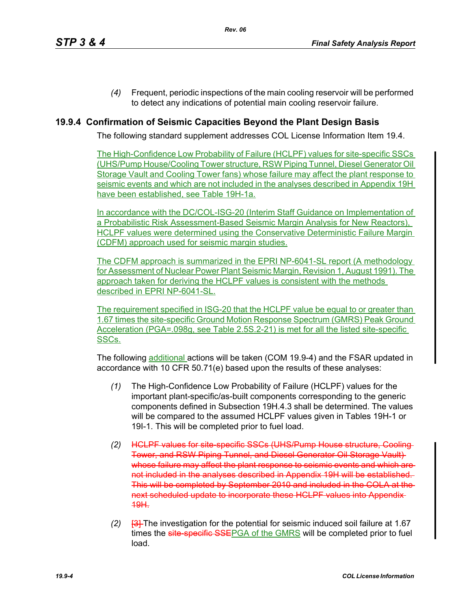*(4)* Frequent, periodic inspections of the main cooling reservoir will be performed to detect any indications of potential main cooling reservoir failure.

# **19.9.4 Confirmation of Seismic Capacities Beyond the Plant Design Basis**

The following standard supplement addresses COL License Information Item 19.4.

The High-Confidence Low Probability of Failure (HCLPF) values for site-specific SSCs (UHS/Pump House/Cooling Tower structure, RSW Piping Tunnel, Diesel Generator Oil Storage Vault and Cooling Tower fans) whose failure may affect the plant response to seismic events and which are not included in the analyses described in Appendix 19H have been established, see Table 19H-1a.

In accordance with the DC/COL-ISG-20 (Interim Staff Guidance on Implementation of a Probabilistic Risk Assessment-Based Seismic Margin Analysis for New Reactors), HCLPF values were determined using the Conservative Deterministic Failure Margin (CDFM) approach used for seismic margin studies.

The CDFM approach is summarized in the EPRI NP-6041-SL report (A methodology for Assessment of Nuclear Power Plant Seismic Margin, Revision 1, August 1991). The approach taken for deriving the HCLPF values is consistent with the methods described in EPRI NP-6041-SL.

The requirement specified in ISG-20 that the HCLPF value be equal to or greater than 1.67 times the site-specific Ground Motion Response Spectrum (GMRS) Peak Ground Acceleration (PGA=.098g, see Table 2.5S.2-21) is met for all the listed site-specific SSCs.

The following additional actions will be taken (COM 19.9-4) and the FSAR updated in accordance with 10 CFR 50.71(e) based upon the results of these analyses:

- *(1)* The High-Confidence Low Probability of Failure (HCLPF) values for the important plant-specific/as-built components corresponding to the generic components defined in Subsection 19H.4.3 shall be determined. The values will be compared to the assumed HCLPF values given in Tables 19H-1 or 19I-1. This will be completed prior to fuel load.
- *(2)* HCLPF values for site-specific SSCs (UHS/Pump House structure, Cooling Tower, and RSW Piping Tunnel, and Diesel Generator Oil Storage Vault) whose failure may affect the plant response to seismic events and which are not included in the analyses described in Appendix 19H will be established. This will be completed by September 2010 and included in the COLA at the next scheduled update to incorporate these HCLPF values into Appendix 19H.
- *(2)* [3] The investigation for the potential for seismic induced soil failure at 1.67 times the site-specific SSEPGA of the GMRS will be completed prior to fuel load.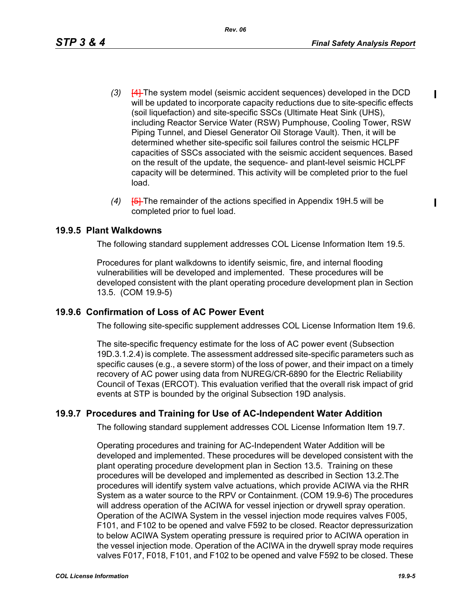$\blacksquare$ 

- *(3)* [4] The system model (seismic accident sequences) developed in the DCD will be updated to incorporate capacity reductions due to site-specific effects (soil liquefaction) and site-specific SSCs (Ultimate Heat Sink (UHS), including Reactor Service Water (RSW) Pumphouse, Cooling Tower, RSW Piping Tunnel, and Diesel Generator Oil Storage Vault). Then, it will be determined whether site-specific soil failures control the seismic HCLPF capacities of SSCs associated with the seismic accident sequences. Based on the result of the update, the sequence- and plant-level seismic HCLPF capacity will be determined. This activity will be completed prior to the fuel load.
- *(4)* [5] The remainder of the actions specified in Appendix 19H.5 will be completed prior to fuel load.

# **19.9.5 Plant Walkdowns**

The following standard supplement addresses COL License Information Item 19.5.

Procedures for plant walkdowns to identify seismic, fire, and internal flooding vulnerabilities will be developed and implemented. These procedures will be developed consistent with the plant operating procedure development plan in Section 13.5. (COM 19.9-5)

# **19.9.6 Confirmation of Loss of AC Power Event**

The following site-specific supplement addresses COL License Information Item 19.6.

The site-specific frequency estimate for the loss of AC power event (Subsection 19D.3.1.2.4) is complete. The assessment addressed site-specific parameters such as specific causes (e.g., a severe storm) of the loss of power, and their impact on a timely recovery of AC power using data from NUREG/CR-6890 for the Electric Reliability Council of Texas (ERCOT). This evaluation verified that the overall risk impact of grid events at STP is bounded by the original Subsection 19D analysis.

# **19.9.7 Procedures and Training for Use of AC-Independent Water Addition**

The following standard supplement addresses COL License Information Item 19.7.

Operating procedures and training for AC-Independent Water Addition will be developed and implemented. These procedures will be developed consistent with the plant operating procedure development plan in Section 13.5. Training on these procedures will be developed and implemented as described in Section 13.2.The procedures will identify system valve actuations, which provide ACIWA via the RHR System as a water source to the RPV or Containment. (COM 19.9-6) The procedures will address operation of the ACIWA for vessel injection or drywell spray operation. Operation of the ACIWA System in the vessel injection mode requires valves F005, F101, and F102 to be opened and valve F592 to be closed. Reactor depressurization to below ACIWA System operating pressure is required prior to ACIWA operation in the vessel injection mode. Operation of the ACIWA in the drywell spray mode requires valves F017, F018, F101, and F102 to be opened and valve F592 to be closed. These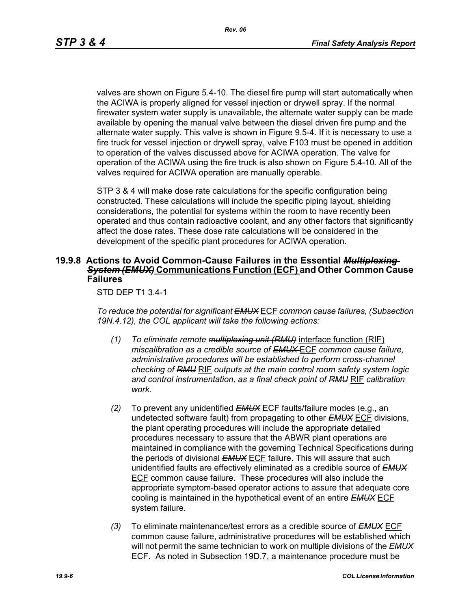valves are shown on Figure 5.4-10. The diesel fire pump will start automatically when the ACIWA is properly aligned for vessel injection or drywell spray. If the normal firewater system water supply is unavailable, the alternate water supply can be made available by opening the manual valve between the diesel driven fire pump and the alternate water supply. This valve is shown in Figure 9.5-4. If it is necessary to use a fire truck for vessel injection or drywell spray, valve F103 must be opened in addition to operation of the valves discussed above for ACIWA operation. The valve for operation of the ACIWA using the fire truck is also shown on Figure 5.4-10. All of the valves required for ACIWA operation are manually operable.

STP 3 & 4 will make dose rate calculations for the specific configuration being constructed. These calculations will include the specific piping layout, shielding considerations, the potential for systems within the room to have recently been operated and thus contain radioactive coolant, and any other factors that significantly affect the dose rates. These dose rate calculations will be considered in the development of the specific plant procedures for ACIWA operation.

#### **19.9.8 Actions to Avoid Common-Cause Failures in the Essential** *Multiplexing System (EMUX)* **Communications Function (ECF) and Other Common Cause Failures**

STD DEP T1 3.4-1

*To reduce the potential for significant EMUX* ECF *common cause failures, (Subsection 19N.4.12), the COL applicant will take the following actions:*

- *(1) To eliminate remote multiplexing unit (RMU)* interface function (RIF) *miscalibration as a credible source of EMUX* ECF *common cause failure, administrative procedures will be established to perform cross-channel checking of RMU* RIF *outputs at the main control room safety system logic and control instrumentation, as a final check point of RMU* RIF *calibration work.*
- *(2)* To prevent any unidentified *EMUX* ECF faults/failure modes (e.g., an undetected software fault) from propagating to other *EMUX* ECF divisions, the plant operating procedures will include the appropriate detailed procedures necessary to assure that the ABWR plant operations are maintained in compliance with the governing Technical Specifications during the periods of divisional *EMUX* ECF failure. This will assure that such unidentified faults are effectively eliminated as a credible source of *EMUX* ECF common cause failure. These procedures will also include the appropriate symptom-based operator actions to assure that adequate core cooling is maintained in the hypothetical event of an entire *EMUX* ECF system failure.
- *(3)* To eliminate maintenance/test errors as a credible source of *EMUX* ECF common cause failure, administrative procedures will be established which will not permit the same technician to work on multiple divisions of the *EMUX* ECF. As noted in Subsection 19D.7, a maintenance procedure must be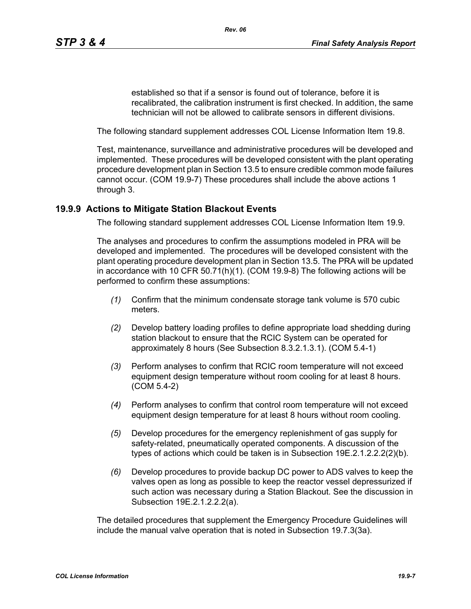established so that if a sensor is found out of tolerance, before it is recalibrated, the calibration instrument is first checked. In addition, the same technician will not be allowed to calibrate sensors in different divisions.

The following standard supplement addresses COL License Information Item 19.8.

Test, maintenance, surveillance and administrative procedures will be developed and implemented. These procedures will be developed consistent with the plant operating procedure development plan in Section 13.5 to ensure credible common mode failures cannot occur. (COM 19.9-7) These procedures shall include the above actions 1 through 3.

### **19.9.9 Actions to Mitigate Station Blackout Events**

The following standard supplement addresses COL License Information Item 19.9.

The analyses and procedures to confirm the assumptions modeled in PRA will be developed and implemented. The procedures will be developed consistent with the plant operating procedure development plan in Section 13.5. The PRA will be updated in accordance with 10 CFR 50.71(h)(1). (COM 19.9-8) The following actions will be performed to confirm these assumptions:

- *(1)* Confirm that the minimum condensate storage tank volume is 570 cubic meters.
- *(2)* Develop battery loading profiles to define appropriate load shedding during station blackout to ensure that the RCIC System can be operated for approximately 8 hours (See Subsection 8.3.2.1.3.1). (COM 5.4-1)
- *(3)* Perform analyses to confirm that RCIC room temperature will not exceed equipment design temperature without room cooling for at least 8 hours. (COM 5.4-2)
- *(4)* Perform analyses to confirm that control room temperature will not exceed equipment design temperature for at least 8 hours without room cooling.
- *(5)* Develop procedures for the emergency replenishment of gas supply for safety-related, pneumatically operated components. A discussion of the types of actions which could be taken is in Subsection 19E.2.1.2.2.2(2)(b).
- *(6)* Develop procedures to provide backup DC power to ADS valves to keep the valves open as long as possible to keep the reactor vessel depressurized if such action was necessary during a Station Blackout. See the discussion in Subsection 19E.2.1.2.2.2(a).

The detailed procedures that supplement the Emergency Procedure Guidelines will include the manual valve operation that is noted in Subsection 19.7.3(3a).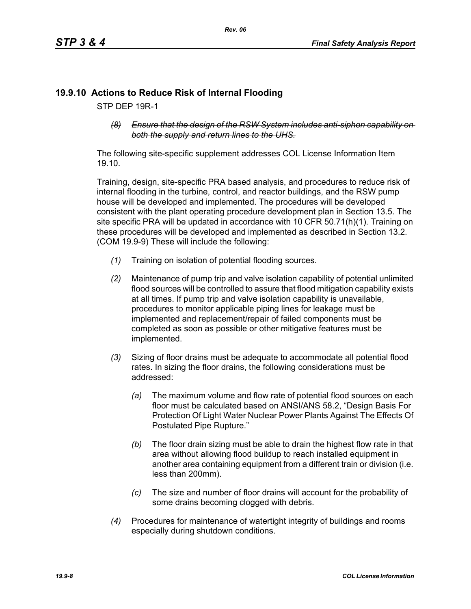# **19.9.10 Actions to Reduce Risk of Internal Flooding**

STP DEP 19R-1

*(8) Ensure that the design of the RSW System includes anti-siphon capability on both the supply and return lines to the UHS.*

The following site-specific supplement addresses COL License Information Item 19.10.

Training, design, site-specific PRA based analysis, and procedures to reduce risk of internal flooding in the turbine, control, and reactor buildings, and the RSW pump house will be developed and implemented. The procedures will be developed consistent with the plant operating procedure development plan in Section 13.5. The site specific PRA will be updated in accordance with 10 CFR 50.71(h)(1). Training on these procedures will be developed and implemented as described in Section 13.2. (COM 19.9-9) These will include the following:

- *(1)* Training on isolation of potential flooding sources.
- *(2)* Maintenance of pump trip and valve isolation capability of potential unlimited flood sources will be controlled to assure that flood mitigation capability exists at all times. If pump trip and valve isolation capability is unavailable, procedures to monitor applicable piping lines for leakage must be implemented and replacement/repair of failed components must be completed as soon as possible or other mitigative features must be implemented.
- *(3)* Sizing of floor drains must be adequate to accommodate all potential flood rates. In sizing the floor drains, the following considerations must be addressed:
	- *(a)* The maximum volume and flow rate of potential flood sources on each floor must be calculated based on ANSI/ANS 58.2, "Design Basis For Protection Of Light Water Nuclear Power Plants Against The Effects Of Postulated Pipe Rupture."
	- *(b)* The floor drain sizing must be able to drain the highest flow rate in that area without allowing flood buildup to reach installed equipment in another area containing equipment from a different train or division (i.e. less than 200mm).
	- *(c)* The size and number of floor drains will account for the probability of some drains becoming clogged with debris.
- *(4)* Procedures for maintenance of watertight integrity of buildings and rooms especially during shutdown conditions.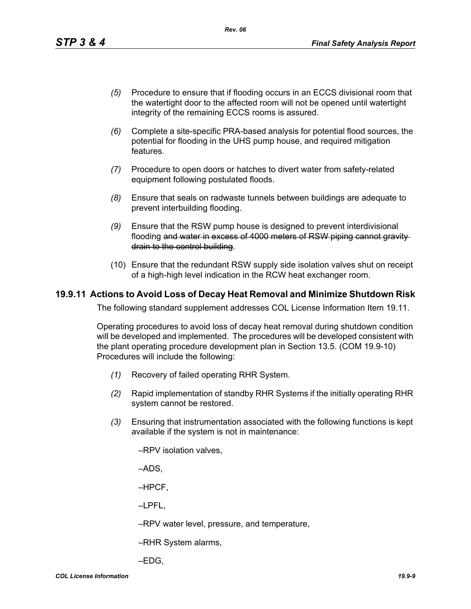- *(5)* Procedure to ensure that if flooding occurs in an ECCS divisional room that the watertight door to the affected room will not be opened until watertight integrity of the remaining ECCS rooms is assured.
- *(6)* Complete a site-specific PRA-based analysis for potential flood sources, the potential for flooding in the UHS pump house, and required mitigation features.
- *(7)* Procedure to open doors or hatches to divert water from safety-related equipment following postulated floods.
- *(8)* Ensure that seals on radwaste tunnels between buildings are adequate to prevent interbuilding flooding.
- *(9)* Ensure that the RSW pump house is designed to prevent interdivisional flooding and water in excess of 4000 meters of RSW piping cannot gravity drain to the control building.
- (10) Ensure that the redundant RSW supply side isolation valves shut on receipt of a high-high level indication in the RCW heat exchanger room.

#### **19.9.11 Actions to Avoid Loss of Decay Heat Removal and Minimize Shutdown Risk**

The following standard supplement addresses COL License Information Item 19.11.

Operating procedures to avoid loss of decay heat removal during shutdown condition will be developed and implemented. The procedures will be developed consistent with the plant operating procedure development plan in Section 13.5. (COM 19.9-10) Procedures will include the following:

- *(1)* Recovery of failed operating RHR System.
- *(2)* Rapid implementation of standby RHR Systems if the initially operating RHR system cannot be restored.
- *(3)* Ensuring that instrumentation associated with the following functions is kept available if the system is not in maintenance:
	- –RPV isolation valves,

–ADS,

–HPCF,

–LPFL,

–RPV water level, pressure, and temperature,

–RHR System alarms,

–EDG,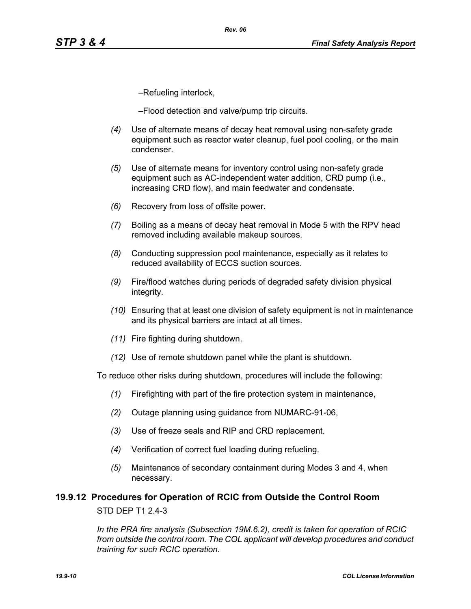–Refueling interlock,

–Flood detection and valve/pump trip circuits.

*Rev. 06*

- *(4)* Use of alternate means of decay heat removal using non-safety grade equipment such as reactor water cleanup, fuel pool cooling, or the main condenser.
- *(5)* Use of alternate means for inventory control using non-safety grade equipment such as AC-independent water addition, CRD pump (i.e., increasing CRD flow), and main feedwater and condensate.
- *(6)* Recovery from loss of offsite power.
- *(7)* Boiling as a means of decay heat removal in Mode 5 with the RPV head removed including available makeup sources.
- *(8)* Conducting suppression pool maintenance, especially as it relates to reduced availability of ECCS suction sources.
- *(9)* Fire/flood watches during periods of degraded safety division physical integrity.
- *(10)* Ensuring that at least one division of safety equipment is not in maintenance and its physical barriers are intact at all times.
- *(11)* Fire fighting during shutdown.
- *(12)* Use of remote shutdown panel while the plant is shutdown.

To reduce other risks during shutdown, procedures will include the following:

- *(1)* Firefighting with part of the fire protection system in maintenance,
- *(2)* Outage planning using guidance from NUMARC-91-06,
- *(3)* Use of freeze seals and RIP and CRD replacement.
- *(4)* Verification of correct fuel loading during refueling.
- *(5)* Maintenance of secondary containment during Modes 3 and 4, when necessary.

# **19.9.12 Procedures for Operation of RCIC from Outside the Control Room** STD DEP T1 2.4-3

*In the PRA fire analysis (Subsection 19M.6.2), credit is taken for operation of RCIC from outside the control room. The COL applicant will develop procedures and conduct training for such RCIC operation.*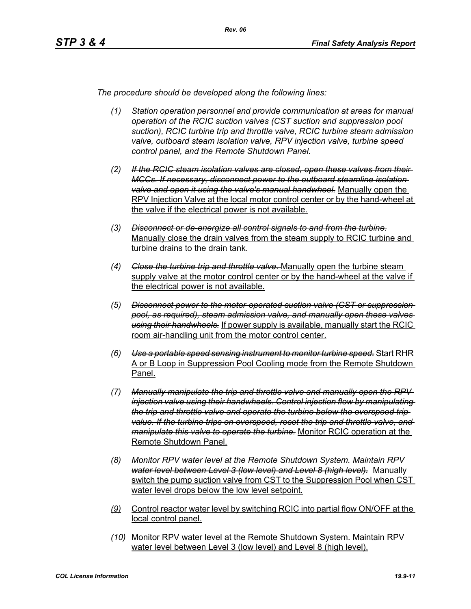*The procedure should be developed along the following lines:*

- *(1) Station operation personnel and provide communication at areas for manual operation of the RCIC suction valves (CST suction and suppression pool suction), RCIC turbine trip and throttle valve, RCIC turbine steam admission valve, outboard steam isolation valve, RPV injection valve, turbine speed control panel, and the Remote Shutdown Panel.*
- *(2) If the RCIC steam isolation valves are closed, open these valves from their MCCs. If necessary, disconnect power to the outboard steamline isolation valve and open it using the valve's manual handwheel.* Manually open the RPV Injection Valve at the local motor control center or by the hand-wheel at the valve if the electrical power is not available.
- *(3) Disconnect or de-energize all control signals to and from the turbine.* Manually close the drain valves from the steam supply to RCIC turbine and turbine drains to the drain tank.
- *(4) Close the turbine trip and throttle valve.* Manually open the turbine steam supply valve at the motor control center or by the hand-wheel at the valve if the electrical power is not available.
- *(5) Disconnect power to the motor-operated suction valve (CST or suppression pool, as required), steam admission valve, and manually open these valves using their handwheels.* If power supply is available, manually start the RCIC room air-handling unit from the motor control center.
- *(6) Use a portable speed sensing instrument to monitor turbine speed.* Start RHR A or B Loop in Suppression Pool Cooling mode from the Remote Shutdown Panel.
- *(7) Manually manipulate the trip and throttle valve and manually open the RPV injection valve using their handwheels. Control injection flow by manipulating the trip and throttle valve and operate the turbine below the overspeed trip value. If the turbine trips on overspeed, reset the trip and throttle valve, and manipulate this valve to operate the turbine.* Monitor RCIC operation at the Remote Shutdown Panel.
- *(8) Monitor RPV water level at the Remote Shutdown System. Maintain RPV water level between Level 3 (low level) and Level 8 (high level).* Manually switch the pump suction valve from CST to the Suppression Pool when CST water level drops below the low level setpoint.
- *(9)* Control reactor water level by switching RCIC into partial flow ON/OFF at the local control panel.
- *(10)* Monitor RPV water level at the Remote Shutdown System. Maintain RPV water level between Level 3 (low level) and Level 8 (high level).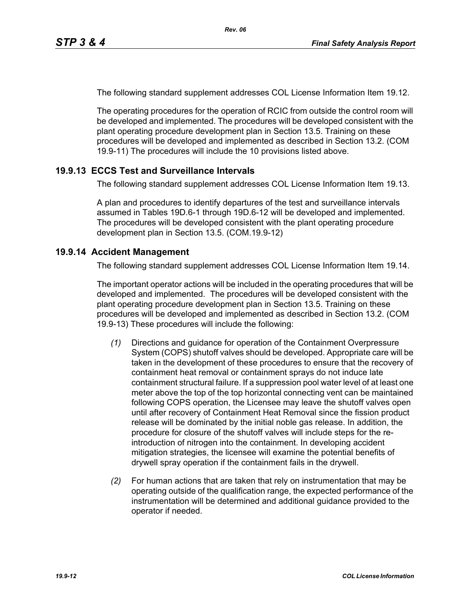The following standard supplement addresses COL License Information Item 19.12.

The operating procedures for the operation of RCIC from outside the control room will be developed and implemented. The procedures will be developed consistent with the plant operating procedure development plan in Section 13.5. Training on these procedures will be developed and implemented as described in Section 13.2. (COM 19.9-11) The procedures will include the 10 provisions listed above.

# **19.9.13 ECCS Test and Surveillance Intervals**

The following standard supplement addresses COL License Information Item 19.13.

A plan and procedures to identify departures of the test and surveillance intervals assumed in Tables 19D.6-1 through 19D.6-12 will be developed and implemented. The procedures will be developed consistent with the plant operating procedure development plan in Section 13.5. (COM.19.9-12)

## **19.9.14 Accident Management**

The following standard supplement addresses COL License Information Item 19.14.

The important operator actions will be included in the operating procedures that will be developed and implemented. The procedures will be developed consistent with the plant operating procedure development plan in Section 13.5. Training on these procedures will be developed and implemented as described in Section 13.2. (COM 19.9-13) These procedures will include the following:

- *(1)* Directions and guidance for operation of the Containment Overpressure System (COPS) shutoff valves should be developed. Appropriate care will be taken in the development of these procedures to ensure that the recovery of containment heat removal or containment sprays do not induce late containment structural failure. If a suppression pool water level of at least one meter above the top of the top horizontal connecting vent can be maintained following COPS operation, the Licensee may leave the shutoff valves open until after recovery of Containment Heat Removal since the fission product release will be dominated by the initial noble gas release. In addition, the procedure for closure of the shutoff valves will include steps for the reintroduction of nitrogen into the containment. In developing accident mitigation strategies, the licensee will examine the potential benefits of drywell spray operation if the containment fails in the drywell.
- *(2)* For human actions that are taken that rely on instrumentation that may be operating outside of the qualification range, the expected performance of the instrumentation will be determined and additional guidance provided to the operator if needed.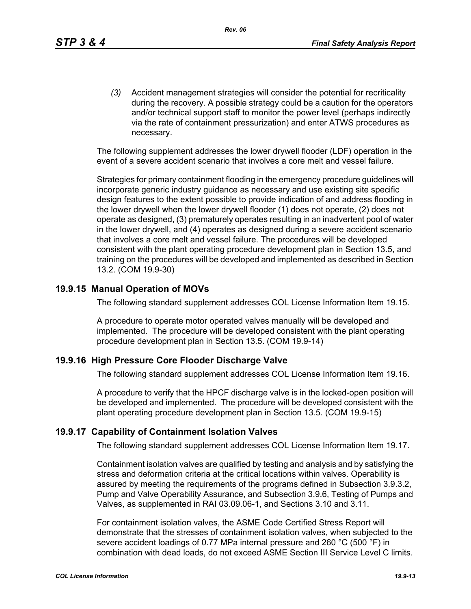*(3)* Accident management strategies will consider the potential for recriticality during the recovery. A possible strategy could be a caution for the operators and/or technical support staff to monitor the power level (perhaps indirectly via the rate of containment pressurization) and enter ATWS procedures as necessary.

The following supplement addresses the lower drywell flooder (LDF) operation in the event of a severe accident scenario that involves a core melt and vessel failure.

Strategies for primary containment flooding in the emergency procedure guidelines will incorporate generic industry guidance as necessary and use existing site specific design features to the extent possible to provide indication of and address flooding in the lower drywell when the lower drywell flooder (1) does not operate, (2) does not operate as designed, (3) prematurely operates resulting in an inadvertent pool of water in the lower drywell, and (4) operates as designed during a severe accident scenario that involves a core melt and vessel failure. The procedures will be developed consistent with the plant operating procedure development plan in Section 13.5, and training on the procedures will be developed and implemented as described in Section 13.2. (COM 19.9-30)

#### **19.9.15 Manual Operation of MOVs**

The following standard supplement addresses COL License Information Item 19.15.

A procedure to operate motor operated valves manually will be developed and implemented. The procedure will be developed consistent with the plant operating procedure development plan in Section 13.5. (COM 19.9-14)

#### **19.9.16 High Pressure Core Flooder Discharge Valve**

The following standard supplement addresses COL License Information Item 19.16.

A procedure to verify that the HPCF discharge valve is in the locked-open position will be developed and implemented. The procedure will be developed consistent with the plant operating procedure development plan in Section 13.5. (COM 19.9-15)

#### **19.9.17 Capability of Containment Isolation Valves**

The following standard supplement addresses COL License Information Item 19.17.

Containment isolation valves are qualified by testing and analysis and by satisfying the stress and deformation criteria at the critical locations within valves. Operability is assured by meeting the requirements of the programs defined in Subsection 3.9.3.2, Pump and Valve Operability Assurance, and Subsection 3.9.6, Testing of Pumps and Valves, as supplemented in RAI 03.09.06-1, and Sections 3.10 and 3.11.

For containment isolation valves, the ASME Code Certified Stress Report will demonstrate that the stresses of containment isolation valves, when subjected to the severe accident loadings of 0.77 MPa internal pressure and 260 °C (500 °F) in combination with dead loads, do not exceed ASME Section III Service Level C limits.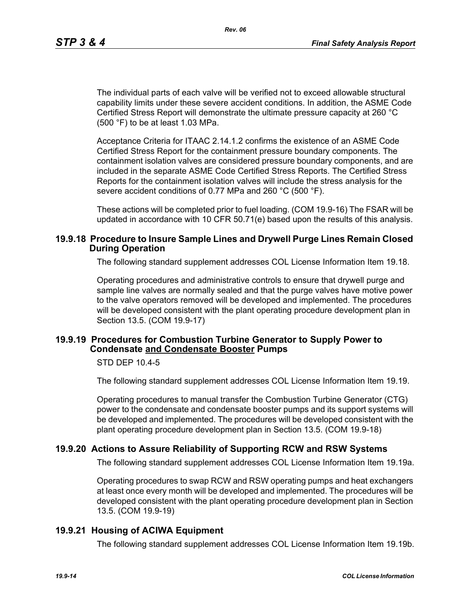The individual parts of each valve will be verified not to exceed allowable structural capability limits under these severe accident conditions. In addition, the ASME Code Certified Stress Report will demonstrate the ultimate pressure capacity at 260 °C (500 °F) to be at least 1.03 MPa.

Acceptance Criteria for ITAAC 2.14.1.2 confirms the existence of an ASME Code Certified Stress Report for the containment pressure boundary components. The containment isolation valves are considered pressure boundary components, and are included in the separate ASME Code Certified Stress Reports. The Certified Stress Reports for the containment isolation valves will include the stress analysis for the severe accident conditions of 0.77 MPa and 260 °C (500 °F).

These actions will be completed prior to fuel loading. (COM 19.9-16) The FSAR will be updated in accordance with 10 CFR 50.71(e) based upon the results of this analysis.

#### **19.9.18 Procedure to Insure Sample Lines and Drywell Purge Lines Remain Closed During Operation**

The following standard supplement addresses COL License Information Item 19.18.

Operating procedures and administrative controls to ensure that drywell purge and sample line valves are normally sealed and that the purge valves have motive power to the valve operators removed will be developed and implemented. The procedures will be developed consistent with the plant operating procedure development plan in Section 13.5. (COM 19.9-17)

#### **19.9.19 Procedures for Combustion Turbine Generator to Supply Power to Condensate and Condensate Booster Pumps**

STD DEP 10.4-5

The following standard supplement addresses COL License Information Item 19.19.

Operating procedures to manual transfer the Combustion Turbine Generator (CTG) power to the condensate and condensate booster pumps and its support systems will be developed and implemented. The procedures will be developed consistent with the plant operating procedure development plan in Section 13.5. (COM 19.9-18)

#### **19.9.20 Actions to Assure Reliability of Supporting RCW and RSW Systems**

The following standard supplement addresses COL License Information Item 19.19a.

Operating procedures to swap RCW and RSW operating pumps and heat exchangers at least once every month will be developed and implemented. The procedures will be developed consistent with the plant operating procedure development plan in Section 13.5. (COM 19.9-19)

#### **19.9.21 Housing of ACIWA Equipment**

The following standard supplement addresses COL License Information Item 19.19b.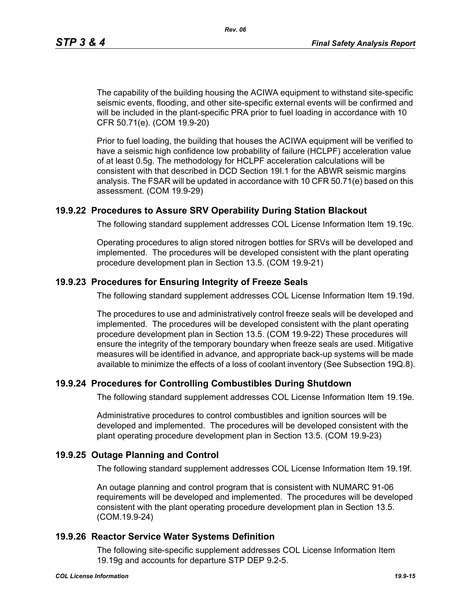The capability of the building housing the ACIWA equipment to withstand site-specific seismic events, flooding, and other site-specific external events will be confirmed and will be included in the plant-specific PRA prior to fuel loading in accordance with 10 CFR 50.71(e). (COM 19.9-20)

Prior to fuel loading, the building that houses the ACIWA equipment will be verified to have a seismic high confidence low probability of failure (HCLPF) acceleration value of at least 0.5g. The methodology for HCLPF acceleration calculations will be consistent with that described in DCD Section 19I.1 for the ABWR seismic margins analysis. The FSAR will be updated in accordance with 10 CFR 50.71(e) based on this assessment. (COM 19.9-29)

## **19.9.22 Procedures to Assure SRV Operability During Station Blackout**

The following standard supplement addresses COL License Information Item 19.19c.

Operating procedures to align stored nitrogen bottles for SRVs will be developed and implemented. The procedures will be developed consistent with the plant operating procedure development plan in Section 13.5. (COM 19.9-21)

### **19.9.23 Procedures for Ensuring Integrity of Freeze Seals**

The following standard supplement addresses COL License Information Item 19.19d.

The procedures to use and administratively control freeze seals will be developed and implemented. The procedures will be developed consistent with the plant operating procedure development plan in Section 13.5. (COM 19.9-22) These procedures will ensure the integrity of the temporary boundary when freeze seals are used. Mitigative measures will be identified in advance, and appropriate back-up systems will be made available to minimize the effects of a loss of coolant inventory (See Subsection 19Q.8).

#### **19.9.24 Procedures for Controlling Combustibles During Shutdown**

The following standard supplement addresses COL License Information Item 19.19e.

Administrative procedures to control combustibles and ignition sources will be developed and implemented. The procedures will be developed consistent with the plant operating procedure development plan in Section 13.5. (COM 19.9-23)

#### **19.9.25 Outage Planning and Control**

The following standard supplement addresses COL License Information Item 19.19f.

An outage planning and control program that is consistent with NUMARC 91-06 requirements will be developed and implemented. The procedures will be developed consistent with the plant operating procedure development plan in Section 13.5. (COM.19.9-24)

#### **19.9.26 Reactor Service Water Systems Definition**

The following site-specific supplement addresses COL License Information Item 19.19g and accounts for departure STP DEP 9.2-5.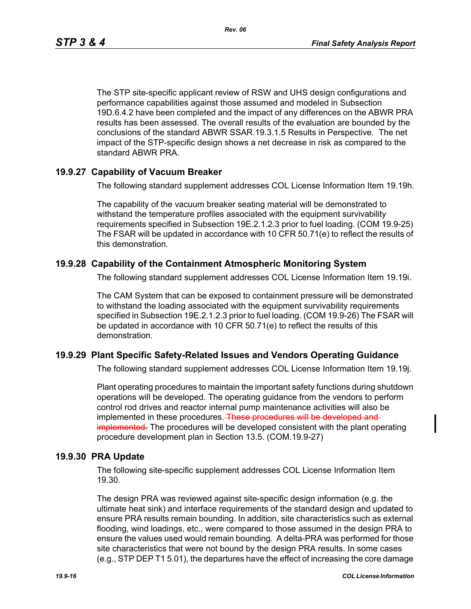*Rev. 06*

The STP site-specific applicant review of RSW and UHS design configurations and performance capabilities against those assumed and modeled in Subsection 19D.6.4.2 have been completed and the impact of any differences on the ABWR PRA results has been assessed. The overall results of the evaluation are bounded by the conclusions of the standard ABWR SSAR.19.3.1.5 Results in Perspective. The net impact of the STP-specific design shows a net decrease in risk as compared to the standard ABWR PRA.

## **19.9.27 Capability of Vacuum Breaker**

The following standard supplement addresses COL License Information Item 19.19h.

The capability of the vacuum breaker seating material will be demonstrated to withstand the temperature profiles associated with the equipment survivability requirements specified in Subsection 19E.2.1.2.3 prior to fuel loading. (COM 19.9-25) The FSAR will be updated in accordance with 10 CFR 50.71(e) to reflect the results of this demonstration.

# **19.9.28 Capability of the Containment Atmospheric Monitoring System**

The following standard supplement addresses COL License Information Item 19.19i.

The CAM System that can be exposed to containment pressure will be demonstrated to withstand the loading associated with the equipment survivability requirements specified in Subsection 19E.2.1.2.3 prior to fuel loading. (COM 19.9-26) The FSAR will be updated in accordance with 10 CFR 50.71(e) to reflect the results of this demonstration.

# **19.9.29 Plant Specific Safety-Related Issues and Vendors Operating Guidance**

The following standard supplement addresses COL License Information Item 19.19j.

Plant operating procedures to maintain the important safety functions during shutdown operations will be developed. The operating guidance from the vendors to perform control rod drives and reactor internal pump maintenance activities will also be implemented in these procedures. These procedures will be developed and implemented. The procedures will be developed consistent with the plant operating procedure development plan in Section 13.5. (COM.19.9-27)

## **19.9.30 PRA Update**

The following site-specific supplement addresses COL License Information Item 19.30.

The design PRA was reviewed against site-specific design information (e.g. the ultimate heat sink) and interface requirements of the standard design and updated to ensure PRA results remain bounding. In addition, site characteristics such as external flooding, wind loadings, etc., were compared to those assumed in the design PRA to ensure the values used would remain bounding. A delta-PRA was performed for those site characteristics that were not bound by the design PRA results. In some cases (e.g., STP DEP T1 5.01), the departures have the effect of increasing the core damage